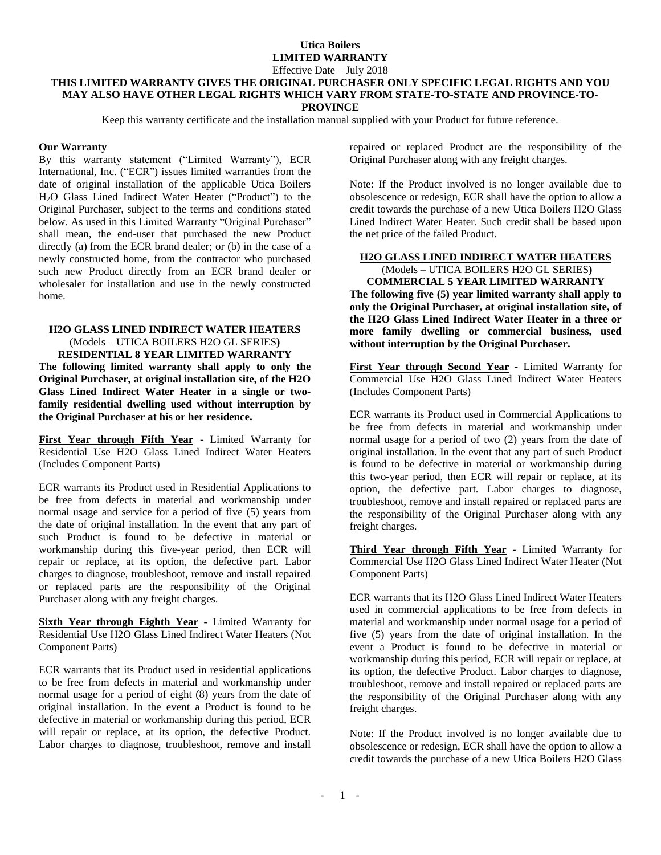# **Utica Boilers LIMITED WARRANTY**

#### Effective Date – July 2018

#### **THIS LIMITED WARRANTY GIVES THE ORIGINAL PURCHASER ONLY SPECIFIC LEGAL RIGHTS AND YOU MAY ALSO HAVE OTHER LEGAL RIGHTS WHICH VARY FROM STATE-TO-STATE AND PROVINCE-TO-PROVINCE**

Keep this warranty certificate and the installation manual supplied with your Product for future reference.

#### **Our Warranty**

By this warranty statement ("Limited Warranty"), ECR International, Inc. ("ECR") issues limited warranties from the date of original installation of the applicable Utica Boilers H2O Glass Lined Indirect Water Heater ("Product") to the Original Purchaser, subject to the terms and conditions stated below. As used in this Limited Warranty "Original Purchaser" shall mean, the end-user that purchased the new Product directly (a) from the ECR brand dealer; or (b) in the case of a newly constructed home, from the contractor who purchased such new Product directly from an ECR brand dealer or wholesaler for installation and use in the newly constructed home.

#### **H2O GLASS LINED INDIRECT WATER HEATERS** (Models – UTICA BOILERS H2O GL SERIES**)**

**RESIDENTIAL 8 YEAR LIMITED WARRANTY The following limited warranty shall apply to only the Original Purchaser, at original installation site, of the H2O Glass Lined Indirect Water Heater in a single or twofamily residential dwelling used without interruption by the Original Purchaser at his or her residence.**

**First Year through Fifth Year -** Limited Warranty for Residential Use H2O Glass Lined Indirect Water Heaters (Includes Component Parts)

ECR warrants its Product used in Residential Applications to be free from defects in material and workmanship under normal usage and service for a period of five (5) years from the date of original installation. In the event that any part of such Product is found to be defective in material or workmanship during this five-year period, then ECR will repair or replace, at its option, the defective part. Labor charges to diagnose, troubleshoot, remove and install repaired or replaced parts are the responsibility of the Original Purchaser along with any freight charges.

**Sixth Year through Eighth Year -** Limited Warranty for Residential Use H2O Glass Lined Indirect Water Heaters (Not Component Parts)

ECR warrants that its Product used in residential applications to be free from defects in material and workmanship under normal usage for a period of eight (8) years from the date of original installation. In the event a Product is found to be defective in material or workmanship during this period, ECR will repair or replace, at its option, the defective Product. Labor charges to diagnose, troubleshoot, remove and install repaired or replaced Product are the responsibility of the Original Purchaser along with any freight charges.

Note: If the Product involved is no longer available due to obsolescence or redesign, ECR shall have the option to allow a credit towards the purchase of a new Utica Boilers H2O Glass Lined Indirect Water Heater. Such credit shall be based upon the net price of the failed Product.

### **H2O GLASS LINED INDIRECT WATER HEATERS**  (Models – UTICA BOILERS H2O GL SERIES**)**

**COMMERCIAL 5 YEAR LIMITED WARRANTY The following five (5) year limited warranty shall apply to only the Original Purchaser, at original installation site, of the H2O Glass Lined Indirect Water Heater in a three or more family dwelling or commercial business, used without interruption by the Original Purchaser.**

**First Year through Second Year -** Limited Warranty for Commercial Use H2O Glass Lined Indirect Water Heaters (Includes Component Parts)

ECR warrants its Product used in Commercial Applications to be free from defects in material and workmanship under normal usage for a period of two (2) years from the date of original installation. In the event that any part of such Product is found to be defective in material or workmanship during this two-year period, then ECR will repair or replace, at its option, the defective part. Labor charges to diagnose, troubleshoot, remove and install repaired or replaced parts are the responsibility of the Original Purchaser along with any freight charges.

**Third Year through Fifth Year -** Limited Warranty for Commercial Use H2O Glass Lined Indirect Water Heater (Not Component Parts)

ECR warrants that its H2O Glass Lined Indirect Water Heaters used in commercial applications to be free from defects in material and workmanship under normal usage for a period of five (5) years from the date of original installation. In the event a Product is found to be defective in material or workmanship during this period, ECR will repair or replace, at its option, the defective Product. Labor charges to diagnose, troubleshoot, remove and install repaired or replaced parts are the responsibility of the Original Purchaser along with any freight charges.

Note: If the Product involved is no longer available due to obsolescence or redesign, ECR shall have the option to allow a credit towards the purchase of a new Utica Boilers H2O Glass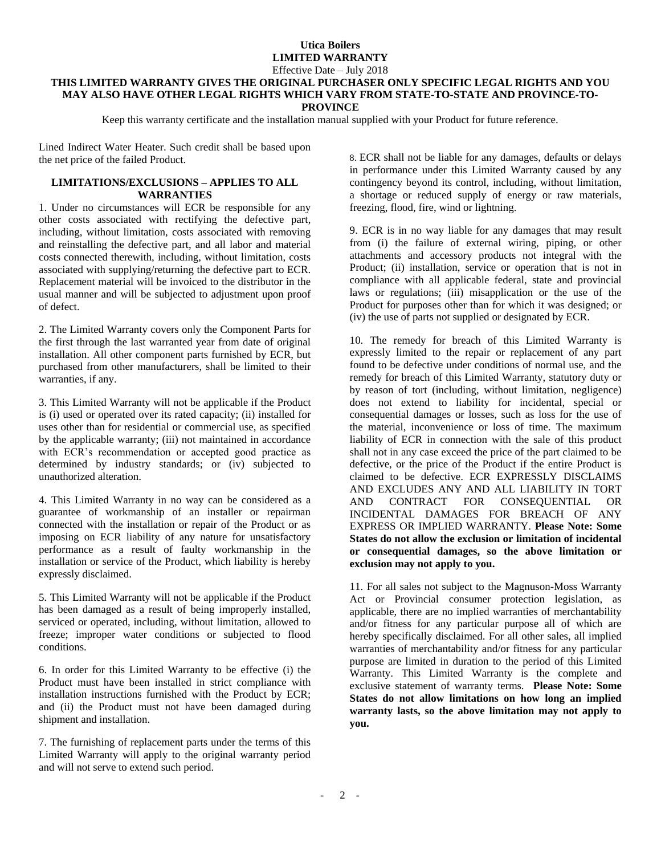# **Utica Boilers LIMITED WARRANTY**

### Effective Date – July 2018

#### **THIS LIMITED WARRANTY GIVES THE ORIGINAL PURCHASER ONLY SPECIFIC LEGAL RIGHTS AND YOU MAY ALSO HAVE OTHER LEGAL RIGHTS WHICH VARY FROM STATE-TO-STATE AND PROVINCE-TO-PROVINCE**

Keep this warranty certificate and the installation manual supplied with your Product for future reference.

Lined Indirect Water Heater. Such credit shall be based upon the net price of the failed Product.

### **LIMITATIONS/EXCLUSIONS – APPLIES TO ALL WARRANTIES**

1. Under no circumstances will ECR be responsible for any other costs associated with rectifying the defective part, including, without limitation, costs associated with removing and reinstalling the defective part, and all labor and material costs connected therewith, including, without limitation, costs associated with supplying/returning the defective part to ECR. Replacement material will be invoiced to the distributor in the usual manner and will be subjected to adjustment upon proof of defect.

2. The Limited Warranty covers only the Component Parts for the first through the last warranted year from date of original installation. All other component parts furnished by ECR, but purchased from other manufacturers, shall be limited to their warranties, if any.

3. This Limited Warranty will not be applicable if the Product is (i) used or operated over its rated capacity; (ii) installed for uses other than for residential or commercial use, as specified by the applicable warranty; (iii) not maintained in accordance with ECR's recommendation or accepted good practice as determined by industry standards; or (iv) subjected to unauthorized alteration.

4. This Limited Warranty in no way can be considered as a guarantee of workmanship of an installer or repairman connected with the installation or repair of the Product or as imposing on ECR liability of any nature for unsatisfactory performance as a result of faulty workmanship in the installation or service of the Product, which liability is hereby expressly disclaimed.

5. This Limited Warranty will not be applicable if the Product has been damaged as a result of being improperly installed, serviced or operated, including, without limitation, allowed to freeze; improper water conditions or subjected to flood conditions.

6. In order for this Limited Warranty to be effective (i) the Product must have been installed in strict compliance with installation instructions furnished with the Product by ECR; and (ii) the Product must not have been damaged during shipment and installation.

7. The furnishing of replacement parts under the terms of this Limited Warranty will apply to the original warranty period and will not serve to extend such period.

8. ECR shall not be liable for any damages, defaults or delays in performance under this Limited Warranty caused by any contingency beyond its control, including, without limitation, a shortage or reduced supply of energy or raw materials, freezing, flood, fire, wind or lightning.

9. ECR is in no way liable for any damages that may result from (i) the failure of external wiring, piping, or other attachments and accessory products not integral with the Product; (ii) installation, service or operation that is not in compliance with all applicable federal, state and provincial laws or regulations; (iii) misapplication or the use of the Product for purposes other than for which it was designed; or (iv) the use of parts not supplied or designated by ECR.

10. The remedy for breach of this Limited Warranty is expressly limited to the repair or replacement of any part found to be defective under conditions of normal use, and the remedy for breach of this Limited Warranty, statutory duty or by reason of tort (including, without limitation, negligence) does not extend to liability for incidental, special or consequential damages or losses, such as loss for the use of the material, inconvenience or loss of time. The maximum liability of ECR in connection with the sale of this product shall not in any case exceed the price of the part claimed to be defective, or the price of the Product if the entire Product is claimed to be defective. ECR EXPRESSLY DISCLAIMS AND EXCLUDES ANY AND ALL LIABILITY IN TORT AND CONTRACT FOR CONSEQUENTIAL OR INCIDENTAL DAMAGES FOR BREACH OF ANY EXPRESS OR IMPLIED WARRANTY. **Please Note: Some States do not allow the exclusion or limitation of incidental or consequential damages, so the above limitation or exclusion may not apply to you.**

11. For all sales not subject to the Magnuson-Moss Warranty Act or Provincial consumer protection legislation, as applicable, there are no implied warranties of merchantability and/or fitness for any particular purpose all of which are hereby specifically disclaimed. For all other sales, all implied warranties of merchantability and/or fitness for any particular purpose are limited in duration to the period of this Limited Warranty. This Limited Warranty is the complete and exclusive statement of warranty terms. **Please Note: Some States do not allow limitations on how long an implied warranty lasts, so the above limitation may not apply to you.**